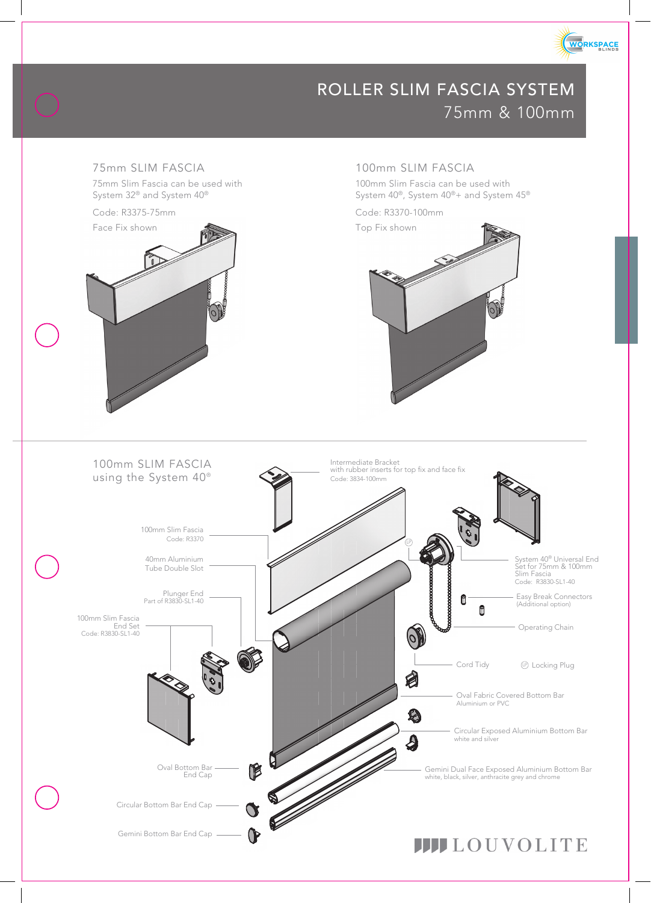

# ROLLER SLIM FASCIA SYSTEM 75mm & 100mm